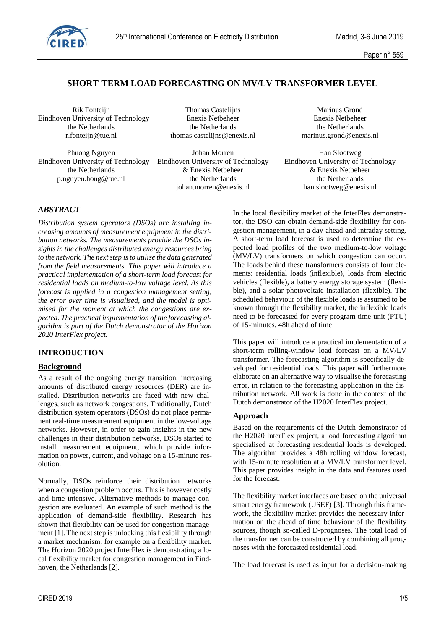

# **SHORT-TERM LOAD FORECASTING ON MV/LV TRANSFORMER LEVEL**

Rik Fonteijn Thomas Castelijns Marinus Grond Eindhoven University of Technology Enexis Netbeheer Enexis Netbeheer

the Netherlands the Netherlands the Netherlands the Netherlands the Netherlands r.fonteijn@tue.nl thomas.castelijns@enexis.nl marinus.grond@enexis.nl

Phuong Nguyen **Iohan Morren** Johan Morren Han Slootweg the Netherlands & Enexis Netbeheer & Enexis Netbeheer p.nguyen.hong@tue.nl the Netherlands the Netherlands

Eindhoven University of Technology Eindhoven University of Technology Eindhoven University of Technology johan.morren@enexis.nl han.slootweg@enexis.nl

## *ABSTRACT*

*Distribution system operators (DSOs) are installing increasing amounts of measurement equipment in the distribution networks. The measurements provide the DSOs insights in the challenges distributed energy resources bring to the network. The next step is to utilise the data generated from the field measurements. This paper will introduce a practical implementation of a short-term load forecast for residential loads on medium-to-low voltage level. As this forecast is applied in a congestion management setting, the error over time is visualised, and the model is optimised for the moment at which the congestions are expected. The practical implementation of the forecasting algorithm is part of the Dutch demonstrator of the Horizon 2020 InterFlex project.* 

## **INTRODUCTION**

#### **Background**

As a result of the ongoing energy transition, increasing amounts of distributed energy resources (DER) are installed. Distribution networks are faced with new challenges, such as network congestions. Traditionally, Dutch distribution system operators (DSOs) do not place permanent real-time measurement equipment in the low-voltage networks. However, in order to gain insights in the new challenges in their distribution networks, DSOs started to install measurement equipment, which provide information on power, current, and voltage on a 15-minute resolution.

Normally, DSOs reinforce their distribution networks when a congestion problem occurs. This is however costly and time intensive. Alternative methods to manage congestion are evaluated. An example of such method is the application of demand-side flexibility. Research has shown that flexibility can be used for congestion management [1]. The next step is unlocking this flexibility through a market mechanism, for example on a flexibility market. The Horizon 2020 project InterFlex is demonstrating a local flexibility market for congestion management in Eindhoven, the Netherlands [2].

In the local flexibility market of the InterFlex demonstrator, the DSO can obtain demand-side flexibility for congestion management, in a day-ahead and intraday setting. A short-term load forecast is used to determine the expected load profiles of the two medium-to-low voltage (MV/LV) transformers on which congestion can occur. The loads behind these transformers consists of four elements: residential loads (inflexible), loads from electric vehicles (flexible), a battery energy storage system (flexible), and a solar photovoltaic installation (flexible). The scheduled behaviour of the flexible loads is assumed to be known through the flexibility market, the inflexible loads need to be forecasted for every program time unit (PTU) of 15-minutes, 48h ahead of time.

This paper will introduce a practical implementation of a short-term rolling-window load forecast on a MV/LV transformer. The forecasting algorithm is specifically developed for residential loads. This paper will furthermore elaborate on an alternative way to visualise the forecasting error, in relation to the forecasting application in the distribution network. All work is done in the context of the Dutch demonstrator of the H2020 InterFlex project.

## **Approach**

Based on the requirements of the Dutch demonstrator of the H2020 InterFlex project, a load forecasting algorithm specialised at forecasting residential loads is developed. The algorithm provides a 48h rolling window forecast, with 15-minute resolution at a MV/LV transformer level. This paper provides insight in the data and features used for the forecast.

The flexibility market interfaces are based on the universal smart energy framework (USEF) [3]. Through this framework, the flexibility market provides the necessary information on the ahead of time behaviour of the flexibility sources, though so-called D-prognoses. The total load of the transformer can be constructed by combining all prognoses with the forecasted residential load.

The load forecast is used as input for a decision-making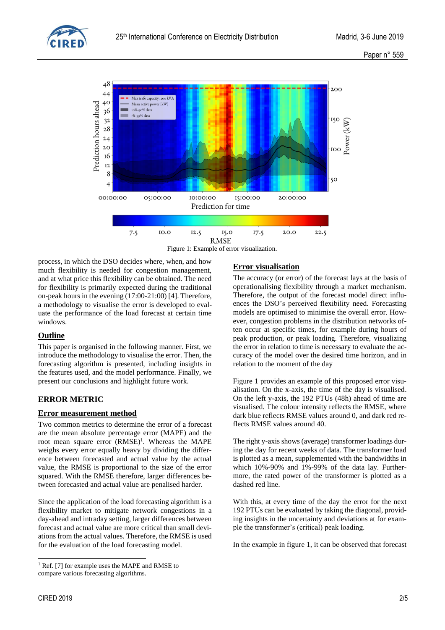



Figure 1: Example of error visualization.

process, in which the DSO decides where, when, and how much flexibility is needed for congestion management, and at what price this flexibility can be obtained. The need for flexibility is primarily expected during the traditional on-peak hours in the evening (17:00-21:00) [4]. Therefore, a methodology to visualise the error is developed to evaluate the performance of the load forecast at certain time windows.

## **Outline**

This paper is organised in the following manner. First, we introduce the methodology to visualise the error. Then, the forecasting algorithm is presented, including insights in the features used, and the model performance. Finally, we present our conclusions and highlight future work.

# **ERROR METRIC**

## **Error measurement method**

Two common metrics to determine the error of a forecast are the mean absolute percentage error (MAPE) and the root mean square error  $(RMSE)^1$ . Whereas the MAPE weighs every error equally heavy by dividing the difference between forecasted and actual value by the actual value, the RMSE is proportional to the size of the error squared. With the RMSE therefore, larger differences between forecasted and actual value are penalised harder.

Since the application of the load forecasting algorithm is a flexibility market to mitigate network congestions in a day-ahead and intraday setting, larger differences between forecast and actual value are more critical than small deviations from the actual values. Therefore, the RMSE is used for the evaluation of the load forecasting model.

# **Error visualisation**

The accuracy (or error) of the forecast lays at the basis of operationalising flexibility through a market mechanism. Therefore, the output of the forecast model direct influences the DSO's perceived flexibility need. Forecasting models are optimised to minimise the overall error. However, congestion problems in the distribution networks often occur at specific times, for example during hours of peak production, or peak loading. Therefore, visualizing the error in relation to time is necessary to evaluate the accuracy of the model over the desired time horizon, and in relation to the moment of the day

Figure 1 provides an example of this proposed error visualisation. On the x-axis, the time of the day is visualised. On the left y-axis, the 192 PTUs (48h) ahead of time are visualised. The colour intensity reflects the RMSE, where dark blue reflects RMSE values around 0, and dark red reflects RMSE values around 40.

The right y-axis shows (average) transformer loadings during the day for recent weeks of data. The transformer load is plotted as a mean, supplemented with the bandwidths in which 10%-90% and 1%-99% of the data lay. Furthermore, the rated power of the transformer is plotted as a dashed red line.

With this, at every time of the day the error for the next 192 PTUs can be evaluated by taking the diagonal, providing insights in the uncertainty and deviations at for example the transformer's (critical) peak loading.

In the example in figure 1, it can be observed that forecast

<sup>-</sup><sup>1</sup> Ref. [7] for example uses the MAPE and RMSE to compare various forecasting algorithms.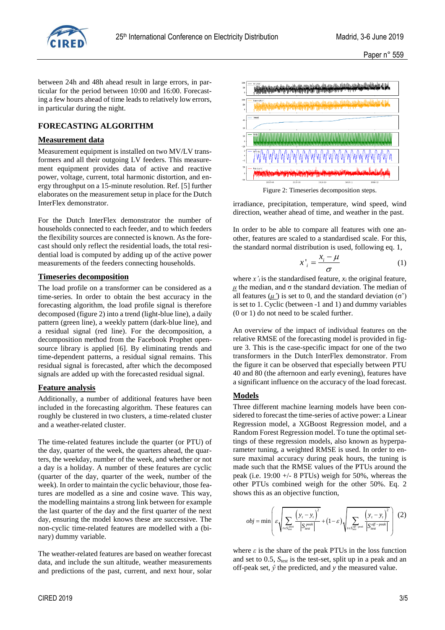

between 24h and 48h ahead result in large errors, in particular for the period between 10:00 and 16:00. Forecasting a few hours ahead of time leads to relatively low errors, in particular during the night.

# **FORECASTING ALGORITHM**

#### **Measurement data**

Measurement equipment is installed on two MV/LV transformers and all their outgoing LV feeders. This measurement equipment provides data of active and reactive power, voltage, current, total harmonic distortion, and energy throughput on a 15-minute resolution. Ref. [5] further elaborates on the measurement setup in place for the Dutch InterFlex demonstrator.

For the Dutch InterFlex demonstrator the number of households connected to each feeder, and to which feeders the flexibility sources are connected is known. As the forecast should only reflect the residential loads, the total residential load is computed by adding up of the active power measurements of the feeders connecting households.

#### **Timeseries decomposition**

The load profile on a transformer can be considered as a time-series. In order to obtain the best accuracy in the forecasting algorithm, the load profile signal is therefore decomposed (figure 2) into a trend (light-blue line), a daily pattern (green line), a weekly pattern (dark-blue line), and a residual signal (red line). For the decomposition, a decomposition method from the Facebook Prophet opensource library is applied [6]. By eliminating trends and time-dependent patterns, a residual signal remains. This residual signal is forecasted, after which the decomposed signals are added up with the forecasted residual signal.

#### **Feature analysis**

Additionally, a number of additional features have been included in the forecasting algorithm. These features can roughly be clustered in two clusters, a time-related cluster and a weather-related cluster.

The time-related features include the quarter (or PTU) of the day, quarter of the week, the quarters ahead, the quarters, the weekday, number of the week, and whether or not a day is a holiday. A number of these features are cyclic (quarter of the day, quarter of the week, number of the week). In order to maintain the cyclic behaviour, those features are modelled as a sine and cosine wave. This way, the modelling maintains a strong link between for example the last quarter of the day and the first quarter of the next day, ensuring the model knows these are successive. The non-cyclic time-related features are modelled with a (binary) dummy variable.

The weather-related features are based on weather forecast data, and include the sun altitude, weather measurements and predictions of the past, current, and next hour, solar



irradiance, precipitation, temperature, wind speed, wind direction, weather ahead of time, and weather in the past.

In order to be able to compare all features with one another, features are scaled to a standardised scale. For this, the standard normal distribution is used, following eq. 1,

$$
x'_{i} = \frac{x_{i} - \mu}{\sigma} \tag{1}
$$

where  $x'$ <sup>*i*</sup> is the standardised feature,  $x_i$  the original feature,  $μ$  the median, and σ the standard deviation. The median of all features  $(*μ*)$  is set to 0, and the standard deviation  $(σ')$ is set to 1. Cyclic (between -1 and 1) and dummy variables (0 or 1) do not need to be scaled further.

An overview of the impact of individual features on the relative RMSE of the forecasting model is provided in figure 3. This is the case-specific impact for one of the two transformers in the Dutch InterFlex demonstrator. From the figure it can be observed that especially between PTU 40 and 80 (the afternoon and early evening), features have a significant influence on the accuracy of the load forecast.

#### **Models**

Three different machine learning models have been considered to forecast the time-series of active power: a Linear Regression model, a XGBoost Regression model, and a Random Forest Regression model. To tune the optimal settings of these regression models, also known as hyperparameter tuning, a weighted RMSE is used. In order to ensure maximal accuracy during peak hours, the tuning is made such that the RMSE values of the PTUs around the peak (i.e. 19:00 +/- 8 PTUs) weigh for 50%, whereas the other PTUs combined weigh for the other 50%. Eq. 2 shows this as an objective function,

$$
obj = \min \left( \varepsilon \sqrt{\sum_{t \in S_{\text{test}}^{\text{peak}}} \frac{\left( y_t - y_t \right)^2}{\left| S_{\text{test}}^{\text{peak}} \right|}} + (1 - \varepsilon) \sqrt{\sum_{t \in S_{\text{test}}^{\text{off-peak}}} \frac{\left( y_t - y_t \right)^2}{\left| S_{\text{test}}^{\text{off-peak}} \right|}} \right) (2)
$$

where  $\varepsilon$  is the share of the peak PTUs in the loss function and set to 0.5, *Stest* is the test-set, split up in a peak and an off-peak set, *ŷ* the predicted, and *y* the measured value.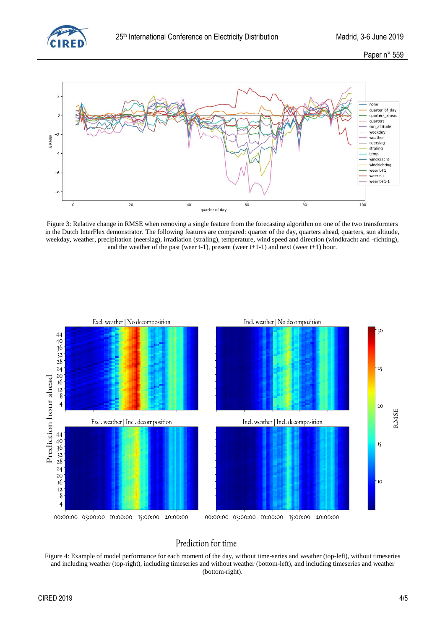

Paper n° 559



Figure 3: Relative change in RMSE when removing a single feature from the forecasting algorithm on one of the two transformers in the Dutch InterFlex demonstrator. The following features are compared: quarter of the day, quarters ahead, quarters, sun altitude, weekday, weather, precipitation (neerslag), irradiation (straling), temperature, wind speed and direction (windkracht and -richting), and the weather of the past (weer t-1), present (weer  $t+1-1$ ) and next (weer  $t+1$ ) hour.



# Prediction for time

Figure 4: Example of model performance for each moment of the day, without time-series and weather (top-left), without timeseries and including weather (top-right), including timeseries and without weather (bottom-left), and including timeseries and weather (bottom-right).